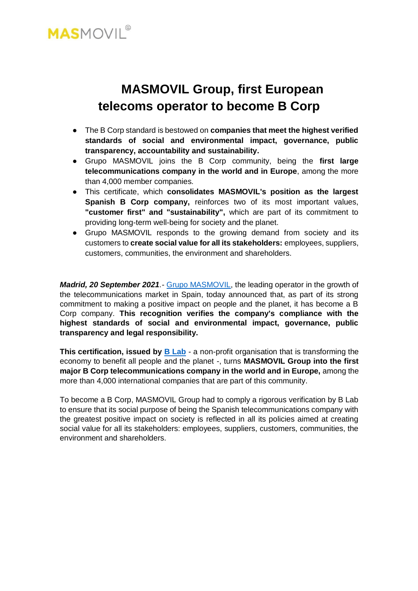

# **MASMOVIL Group, first European telecoms operator to become B Corp**

- The B Corp standard is bestowed on **companies that meet the highest verified standards of social and environmental impact, governance, public transparency, accountability and sustainability.**
- Grupo MASMOVIL joins the B Corp community, being the **first large telecommunications company in the world and in Europe**, among the more than 4,000 member companies.
- This certificate, which **consolidates MASMOVIL's position as the largest Spanish B Corp company,** reinforces two of its most important values, **"customer first" and "sustainability",** which are part of its commitment to providing long-term well-being for society and the planet.
- Grupo MASMOVIL responds to the growing demand from society and its customers to **create social value for all its stakeholders:** employees, suppliers, customers, communities, the environment and shareholders.

*Madrid, 20 September 2021.-* [Grupo MASMOVIL,](http://www.grupomasmovil.com/) the leading operator in the growth of the telecommunications market in Spain, today announced that, as part of its strong commitment to making a positive impact on people and the planet, it has become a B Corp company. **This recognition verifies the company's compliance with the highest standards of social and environmental impact, governance, public transparency and legal responsibility.**

**This certification, issued by <b>B** Lab - a non-profit organisation that is transforming the economy to benefit all people and the planet -, turns **MASMOVIL Group into the first major B Corp telecommunications company in the world and in Europe,** among the more than 4,000 international companies that are part of this community.

To become a B Corp, MASMOVIL Group had to comply a rigorous verification by B Lab to ensure that its social purpose of being the Spanish telecommunications company with the greatest positive impact on society is reflected in all its policies aimed at creating social value for all its stakeholders: employees, suppliers, customers, communities, the environment and shareholders.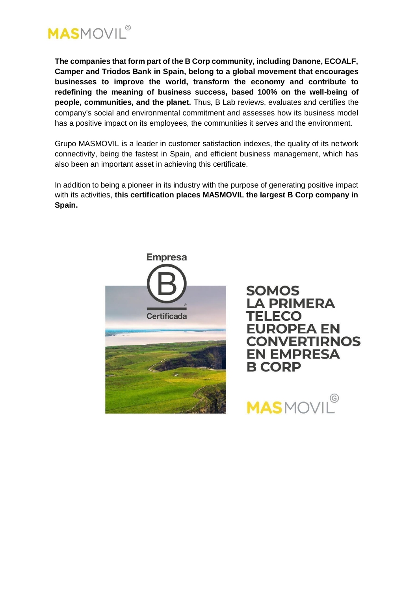

**The companies that form part of the B Corp community, including Danone, ECOALF, Camper and Triodos Bank in Spain, belong to a global movement that encourages businesses to improve the world, transform the economy and contribute to redefining the meaning of business success, based 100% on the well-being of people, communities, and the planet.** Thus, B Lab reviews, evaluates and certifies the company's social and environmental commitment and assesses how its business model has a positive impact on its employees, the communities it serves and the environment.

Grupo MASMOVIL is a leader in customer satisfaction indexes, the quality of its network connectivity, being the fastest in Spain, and efficient business management, which has also been an important asset in achieving this certificate.

In addition to being a pioneer in its industry with the purpose of generating positive impact with its activities, **this certification places MASMOVIL the largest B Corp company in Spain.**



**SOMOS LA PRIMERA TELECO EUROPEA EN CONVERTIRNOS EN EMPRESA B CORP** 

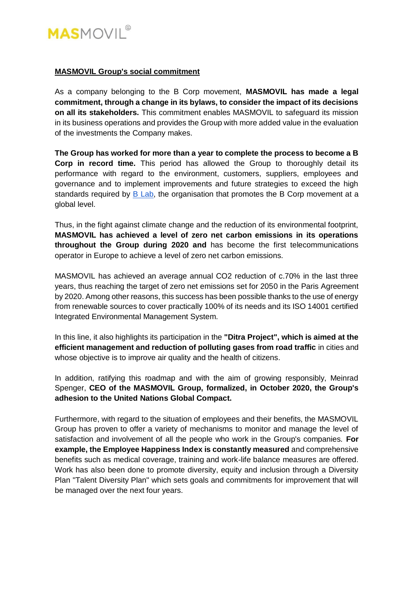

## **MASMOVIL Group's social commitment**

As a company belonging to the B Corp movement, **MASMOVIL has made a legal commitment, through a change in its bylaws, to consider the impact of its decisions on all its stakeholders.** This commitment enables MASMOVIL to safeguard its mission in its business operations and provides the Group with more added value in the evaluation of the investments the Company makes.

**The Group has worked for more than a year to complete the process to become a B Corp in record time.** This period has allowed the Group to thoroughly detail its performance with regard to the environment, customers, suppliers, employees and governance and to implement improvements and future strategies to exceed the high standards required by [B Lab,](https://bcorporation.net/about-b-lab) the organisation that promotes the B Corp movement at a global level.

Thus, in the fight against climate change and the reduction of its environmental footprint, **MASMOVIL has achieved a level of zero net carbon emissions in its operations throughout the Group during 2020 and** has become the first telecommunications operator in Europe to achieve a level of zero net carbon emissions.

MASMOVIL has achieved an average annual CO2 reduction of c.70% in the last three years, thus reaching the target of zero net emissions set for 2050 in the Paris Agreement by 2020. Among other reasons, this success has been possible thanks to the use of energy from renewable sources to cover practically 100% of its needs and its ISO 14001 certified Integrated Environmental Management System.

In this line, it also highlights its participation in the **"Ditra Project", which is aimed at the efficient management and reduction of polluting gases from road traffic** in cities and whose objective is to improve air quality and the health of citizens.

In addition, ratifying this roadmap and with the aim of growing responsibly, Meinrad Spenger, **CEO of the MASMOVIL Group, formalized, in October 2020, the Group's adhesion to the United Nations Global Compact.**

Furthermore, with regard to the situation of employees and their benefits, the MASMOVIL Group has proven to offer a variety of mechanisms to monitor and manage the level of satisfaction and involvement of all the people who work in the Group's companies. **For example, the Employee Happiness Index is constantly measured** and comprehensive benefits such as medical coverage, training and work-life balance measures are offered. Work has also been done to promote diversity, equity and inclusion through a Diversity Plan "Talent Diversity Plan" which sets goals and commitments for improvement that will be managed over the next four years.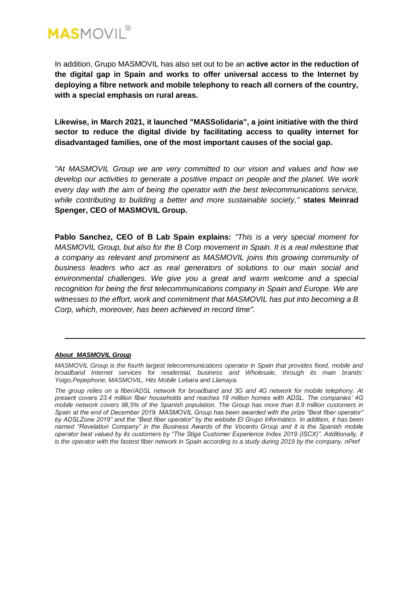

In addition, Grupo MASMOVIL has also set out to be an **active actor in the reduction of the digital gap in Spain and works to offer universal access to the Internet by deploying a fibre network and mobile telephony to reach all corners of the country, with a special emphasis on rural areas.**

**Likewise, in March 2021, it launched "MASSolidaria", a joint initiative with the third sector to reduce the digital divide by facilitating access to quality internet for disadvantaged families, one of the most important causes of the social gap.**

*"At MASMOVIL Group we are very committed to our vision and values and how we develop our activities to generate a positive impact on people and the planet. We work every day with the aim of being the operator with the best telecommunications service, while contributing to building a better and more sustainable society,"* **states Meinrad Spenger, CEO of MASMOVIL Group.**

**Pablo Sanchez, CEO of B Lab Spain explains:** *"This is a very special moment for MASMOVIL Group, but also for the B Corp movement in Spain. It is a real milestone that a company as relevant and prominent as MASMOVIL joins this growing community of business leaders who act as real generators of solutions to our main social and environmental challenges. We give you a great and warm welcome and a special recognition for being the first telecommunications company in Spain and Europe. We are witnesses to the effort, work and commitment that MASMOVIL has put into becoming a B Corp, which, moreover, has been achieved in record time".*

#### *About MASMOVIL Group*

*MASMOVIL Group is the fourth largest telecommunications operator in Spain that provides fixed, mobile and broadband Internet services for residential, business and Wholesale, through its main brands: Yoigo,Pepephone, MASMOVIL, Hits Mobile Lebara and Llamaya.*

*The group relies on a fiber/ADSL network for broadband and 3G and 4G network for mobile telephony. At present covers 23.4 million fiber households and reaches 18 million homes with ADSL. The companies' 4G mobile network covers 98,5% of the Spanish population. The Group has more than 8.9 million customers in Spain at the end of December 2019. MASMOVIL Group has been awarded with the prize "Best fiber operator" by ADSLZone 2019" and the "Best fiber operator" by the website El Grupo Informático. In addition, it has been named "Revelation Company" in the Business Awards of the Vocento Group and it is the Spanish mobile operator best valued by its customers by "The Stiga Customer Experience Index 2019 (ISCX)". Additionally, it is the operator with the fastest fiber network in Spain according to a study during 2019 by the company, nPerf*